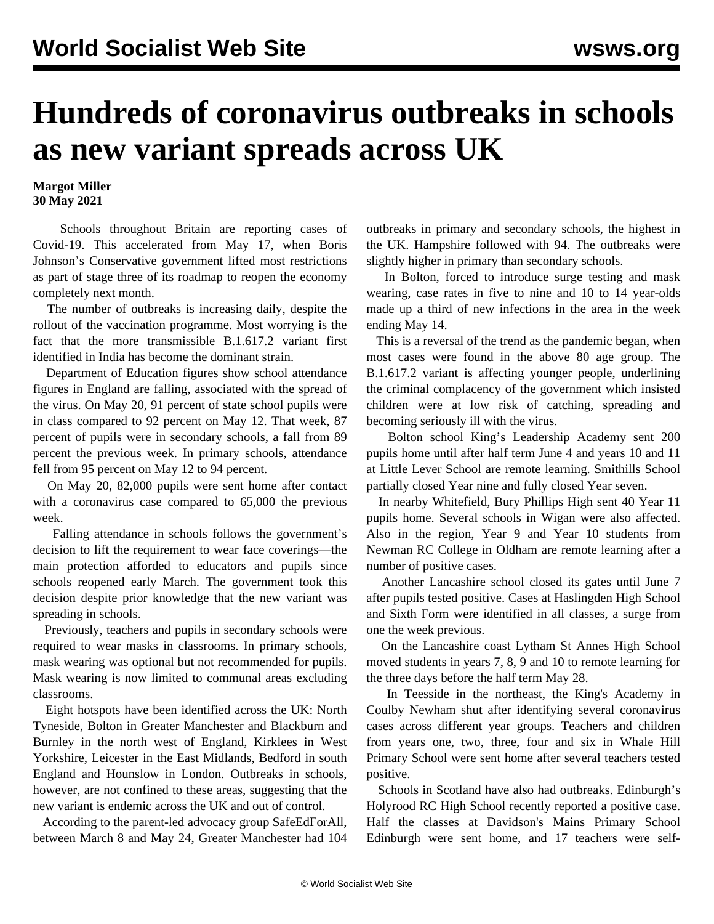## **Hundreds of coronavirus outbreaks in schools as new variant spreads across UK**

**Margot Miller 30 May 2021**

 Schools throughout Britain are reporting cases of Covid-19. This accelerated from May 17, when Boris Johnson's Conservative government lifted most restrictions as part of stage three of its roadmap to reopen the economy completely next month.

 The number of outbreaks is increasing daily, despite the rollout of the vaccination programme. Most worrying is the fact that the more transmissible B.1.617.2 variant first identified in India has become the dominant strain.

 Department of Education figures show school attendance figures in England are falling, associated with the spread of the virus. On May 20, 91 percent of state school pupils were in class compared to 92 percent on May 12. That week, 87 percent of pupils were in secondary schools, a fall from 89 percent the previous week. In primary schools, attendance fell from 95 percent on May 12 to 94 percent.

 On May 20, 82,000 pupils were sent home after contact with a coronavirus case compared to 65,000 the previous week.

 Falling attendance in schools follows the government's decision to lift the requirement to wear [face coverings](/en/articles/2021/05/24/mask-m24.html)—the main protection afforded to educators and pupils since schools reopened early March. The government took this decision despite prior knowledge that the new variant was spreading in schools.

 Previously, teachers and pupils in secondary schools were required to wear masks in classrooms. In primary schools, mask wearing was optional but not recommended for pupils. Mask wearing is now limited to communal areas excluding classrooms.

 Eight hotspots have been identified across the UK: North Tyneside, Bolton in Greater Manchester and Blackburn and Burnley in the north west of England, Kirklees in West Yorkshire, Leicester in the East Midlands, Bedford in south England and Hounslow in London. Outbreaks in schools, however, are not confined to these areas, suggesting that the new variant is endemic across the UK and out of control.

 According to the parent-led advocacy group SafeEdForAll, between March 8 and May 24, Greater Manchester had 104

outbreaks in primary and secondary schools, the highest in the UK. Hampshire followed with 94. The outbreaks were slightly higher in primary than secondary schools.

 In Bolton, forced to introduce surge testing and mask wearing, case rates in five to nine and 10 to 14 year-olds made up a third of new infections in the area in the week ending May 14.

 This is a reversal of the trend as the pandemic began, when most cases were found in the above 80 age group. The B.1.617.2 variant is affecting younger people, underlining the criminal complacency of the government which insisted children were at low risk of catching, spreading and becoming seriously ill with the virus.

 Bolton school King's Leadership Academy sent 200 pupils home until after half term June 4 and years 10 and 11 at Little Lever School are remote learning. Smithills School partially closed Year nine and fully closed Year seven.

 In nearby Whitefield, Bury Phillips High sent 40 Year 11 pupils home. Several schools in Wigan were also affected. Also in the region, Year 9 and Year 10 students from Newman RC College in Oldham are remote learning after a number of positive cases.

 Another Lancashire school closed its gates until June 7 after pupils tested positive. Cases at Haslingden High School and Sixth Form were identified in all classes, a surge from one the week previous.

 On the Lancashire coast Lytham St Annes High School moved students in years 7, 8, 9 and 10 to remote learning for the three days before the half term May 28.

 In Teesside in the northeast, the King's Academy in Coulby Newham shut after identifying several coronavirus cases across different year groups. Teachers and children from years one, two, three, four and six in Whale Hill Primary School were sent home after several teachers tested positive.

 Schools in Scotland have also had outbreaks. Edinburgh's Holyrood RC High School recently reported a positive case. Half the classes at Davidson's Mains Primary School Edinburgh were sent home, and 17 teachers were self-